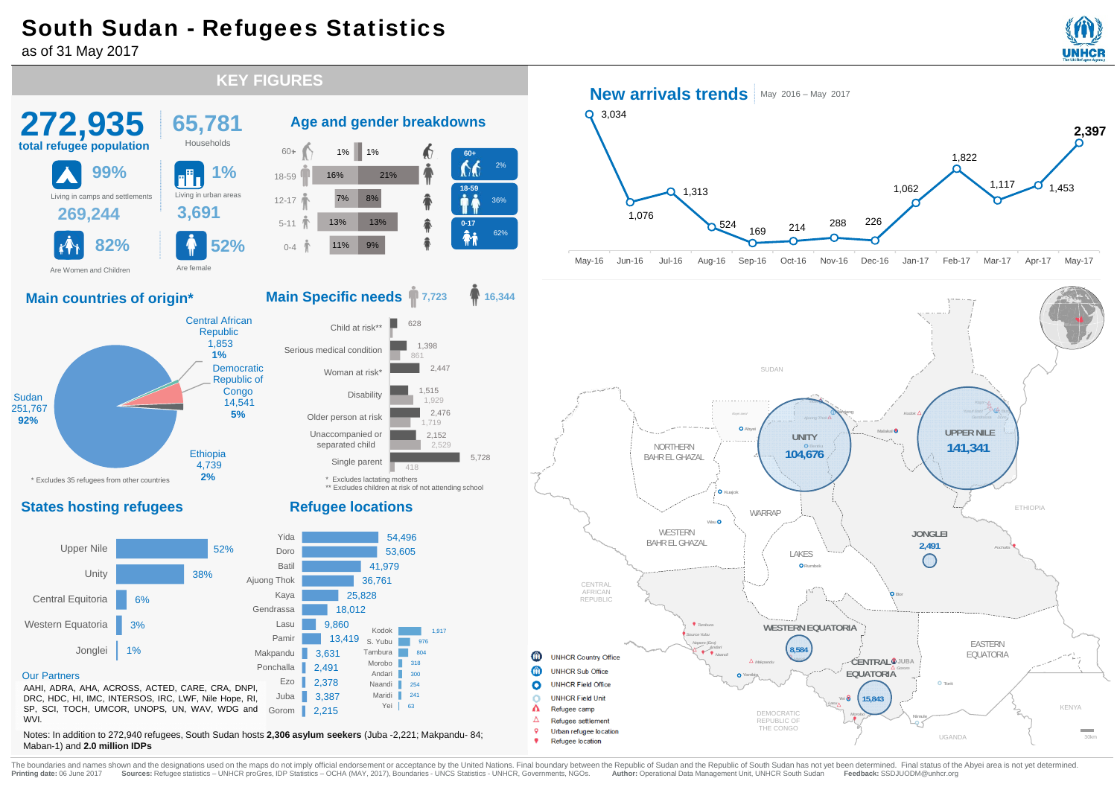# South Sudan - Refugees Statistics

**KEY FIGURES**

as of 31 May 2017







Notes: In addition to 272,940 refugees, South Sudan hosts **2,306 asylum seekers** (Juba -2,221; Makpandu- 84; Maban-1) and **2.0 million IDPs**



### **16,344**

5,728



\*\* Excludes children at risk of not attending school

#### **Refugee locations**



#### **New arrivals trends** May 2016 – May 2017



May-16 Jun-16 Jul-16 Aug-16 Sep-16 Oct-16 Nov-16 Dec-16 Jan-17 Feb-17 Mar-17 Apr-17 May-17



The boundaries and names shown and the designations used on the maps do not imply official endorsement or acceptance by the United Nations. Final boundary between the Republic of Sudan and the Republic of South Sudan has n Printing date: 06 June 2017 Sources: Refugee statistics - UNHCR proGres, IDP Statistics - OCHA (MAY, 2017), Boundaries - UNCS Statistics - UNHCR, Governments, NGOs. Author: Operational Data Management Unit, UNHCR South Sud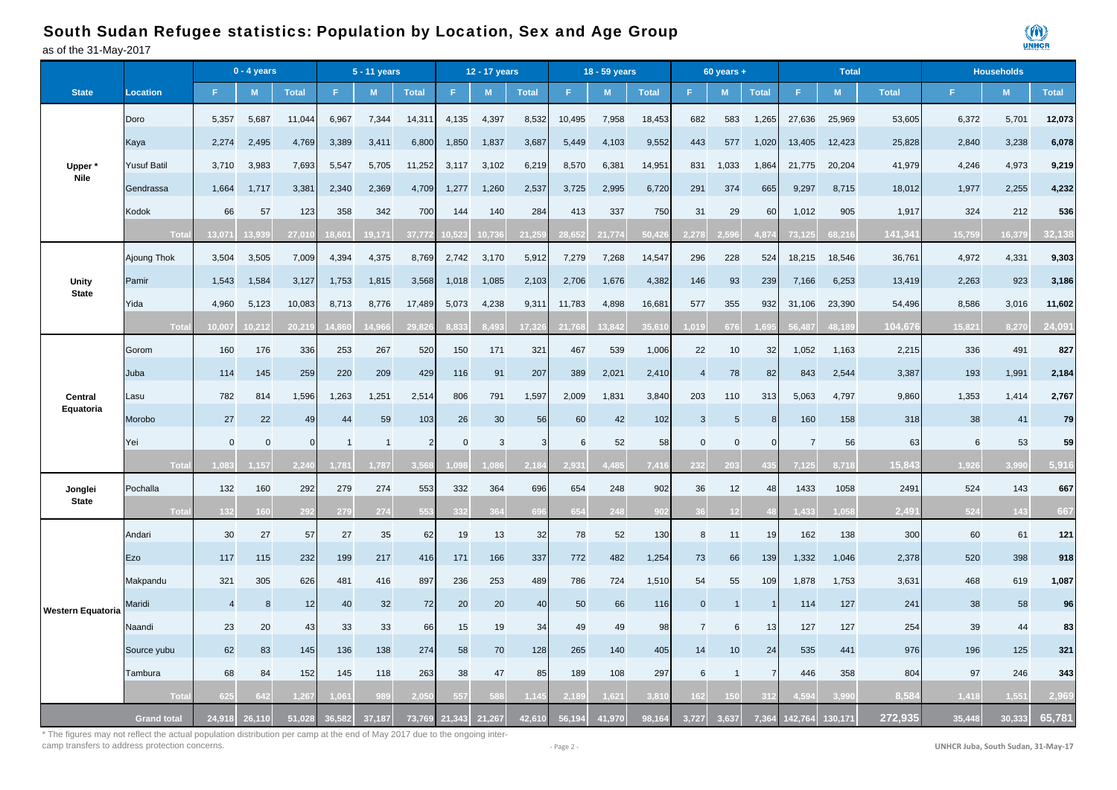#### as of the 31-May-2017 South Sudan Refugee statistics: Population by Location, Sex and Age Group



|                    |                    | $0 - 4$ years  |             |                |                | 5 - 11 years   |                | 12 - 17 years |        |              | 18 - 59 years |               |              |                  | $60$ years + |                |                | <b>Total</b> |              | <b>Households</b> |        |              |
|--------------------|--------------------|----------------|-------------|----------------|----------------|----------------|----------------|---------------|--------|--------------|---------------|---------------|--------------|------------------|--------------|----------------|----------------|--------------|--------------|-------------------|--------|--------------|
| <b>State</b>       | <b>Location</b>    | F.             | M           | <b>Total</b>   | F.             | M              | <b>Total</b>   | F             | M      | <b>Total</b> | F.            | M             | <b>Total</b> | F.               | M            | <b>Total</b>   |                | M            | <b>Total</b> | F.                | M.     | <b>Total</b> |
|                    | Doro               | 5,357          | 5,687       | 11,044         | 6,967          | 7,344          | 14,311         | 4,135         | 4,397  | 8,532        | 10,495        | 7,958         | 18,453       | 682              | 583          | 1,265          | 27,636         | 25,969       | 53,605       | 6,372             | 5,701  | 12,073       |
|                    | Kaya               | 2,274          | 2,495       | 4,769          | 3,389          | 3,411          | 6,800          | 1,850         | 1,837  | 3,687        | 5,449         | 4,103         | 9,552        | 443              | 577          | 1,020          | 13,405         | 12,423       | 25,828       | 2,840             | 3,238  | 6,078        |
| Upper <sup>3</sup> | <b>Yusuf Batil</b> | 3,710          | 3,983       | 7,693          | 5,547          | 5,705          | 11,252         | 3,117         | 3,102  | 6,219        | 8,570         | 6,381         | 14,951       | 831              | 1,033        | 1,864          | 21,775         | 20,204       | 41,979       | 4,246             | 4,973  | 9,219        |
| <b>Nile</b>        | Gendrassa          | 1,664          | 1,717       | 3,381          | 2,340          | 2,369          | 4,709          | 1,277         | 1,260  | 2,537        | 3,725         | 2,995         | 6,720        | 291              | 374          | 665            | 9,297          | 8,715        | 18,012       | 1,977             | 2,255  | 4,232        |
|                    | Kodok              | 66             | 57          | 123            | 358            | 342            | 700            | 144           | 140    | 284          | 413           | 337           | 750          | 31               | 29           | 60             | 1,012          | 905          | 1,917        | 324               | 212    | 536          |
|                    | Tot                | 13,071         | 3.939       | $27,0^{\circ}$ | $8,60^{\circ}$ | 19,171         | 37,77          | 521           | 0,736  | 21.25        | 28.652        | 21,774        | 50,42        | 2,278            |              | 1.87           | 73.125         | 68,216       | 141,34'      | 15,759            | 16,379 | 32,138       |
|                    | Ajoung Thok        | 3,504          | 3,505       | 7,009          | 4,394          | 4,375          | 8,769          | 2,742         | 3,170  | 5,912        | 7,279         | 7,268         | 14,547       | 296              | 228          | 524            | 18,215         | 18,546       | 36,761       | 4,972             | 4,331  | 9,303        |
| <b>Unity</b>       | Pamir              | 1,543          | 1,584       | 3,127          | 1,753          | 1,815          | 3,568          | 1,018         | 1,085  | 2,103        | 2,706         | 1,676         | 4,382        | 146              | 93           | 239            | 7,166          | 6,253        | 13,419       | 2,263             | 923    | 3,186        |
| <b>State</b>       | Yida               | 4,960          | 5,123       | 10,083         | 8,713          | 8,776          | 17,489         | 5,073         | 4,238  | 9,311        | 11,783        | 4,898         | 16,681       | 577              | 355          | 932            | 31,106         | 23,390       | 54,496       | 8,586             | 3,016  | 11,602       |
|                    | Tota               | 10.007         | 10,212      | 20.21          | 4.86           | 14.96          | 29.82          | R 833         | 8.493  | 17,32        | 21,768        | 13.842        | 35,61        | ,019             | 676          | 1.69           | 56.487         | 48,189       | 104,676      | 15.821            | 8,270  | 24,091       |
| Central            | Gorom              | 160            | 176         | 336            | 253            | 267            | 520            | 150           | 171    | 321          | 467           | 539           | 1,006        | 22               | 10           | 32             | 1,052          | 1,163        | 2,215        | 336               | 491    | 827          |
|                    | Juba               | 114            | 145         | 259            | 220            | 209            | 429            | 116           | 91     | 207          | 389           | 2,021         | 2,410        | $\boldsymbol{A}$ | 78           | 82             | 843            | 2,544        | 3,387        | 193               | 1,991  | 2,184        |
|                    | Lasu               | 782            | 814         | 1,596          | 1,263          | 1,251          | 2,514          | 806           | 791    | 1,597        | 2,009         | 1,831         | 3,840        | 203              | 110          | 313            | 5,063          | 4,797        | 9,860        | 1,353             | 1,414  | 2,767        |
| Equatoria          | Morobo             | 27             | 22          | 49             | 44             | 59             | 103            | 26            | 30     | 56           | 60            | 42            | 102          | 3                | $\sqrt{5}$   | 8              | 160            | 158          | 318          | 38                | 41     | 79           |
|                    | Yei                | $\mathbf 0$    | $\mathbf 0$ | $\Omega$       | -1             | $\overline{1}$ | $\overline{2}$ | $\Omega$      | 3      |              | 6             | 52            | 58           | $\mathbf{0}$     | $\Omega$     | $\Omega$       | $\overline{7}$ | 56           | 63           | 6                 | 53     | 59           |
|                    | Tota               | .083           | ,157        | 2.24           | ,781           | 1,787          | 3, 5           |               |        | 2.15         | 2.93'         | .485          | 7,41         | 232              | 203          |                | 125            | 8,718        | 15,843       | 1.926             | 3.990  | 5,916        |
| Jonglei            | Pochalla           | 132            | 160         | 292            | 279            | 274            | 553            | 332           | 364    | 696          | 654           | 248           | 902          | 36               | 12           | 48             | 1433           | 1058         | 2491         | 524               | 143    | 667          |
| <b>State</b>       | Tot                | 132            | 160         | 292            | 279            | 274            | 55             | 332           | 364    |              | 654           | 248           | 90           |                  | 12           |                | .433           | 1,058        | 2,49'        | 524               | 143    | 667          |
|                    | Andari             | 30             | 27          | 57             | 27             | 35             | 62             | 19            | 13     | 32           | 78            | 52            | 130          | 8                | 11           | 19             | 162            | 138          | 300          | 60                | 61     | 121          |
|                    | Ezo                | 117            | 115         | 232            | 199            | 217            | 416            | 171           | 166    | 337          | 772           | 482           | 1,254        | 73               | 66           | 139            | 1,332          | 1,046        | 2,378        | 520               | 398    | 918          |
|                    | Makpandu           | 321            | 305         | 626            | 481            | 416            | 897            | 236           | 253    | 489          | 786           | 724           | 1,510        | 54               | 55           | 109            | 1,878          | 1,753        | 3,631        | 468               | 619    | 1,087        |
| Western Equatoria  | Maridi             | $\overline{4}$ | 8           | 12             | 40             | 32             | 72             | 20            | 20     | 40           | 50            | 66            | 116          | $\mathbf{0}$     |              |                | 114            | 127          | 241          | 38                | 58     | 96           |
|                    | Naandi             | 23             | 20          | 43             | 33             | 33             | 66             | 15            | 19     | 34           | 49            | 49            | 98           | $\overline{7}$   | 6            | 13             | 127            | 127          | 254          | 39                | 44     | 83           |
|                    | Source yubu        | 62             | 83          | 145            | 136            | 138            | 274            | 58            | 70     | 128          | 265           | 140           | 405          | 14               | 10           | 24             | 535            | 441          | 976          | 196               | 125    | 321          |
|                    | Tambura            | 68             | 84          | 152            | 145            | 118            | 263            | 38            | 47     | 85           | 189           | 108           | 297          | 6                | -1           | $\overline{7}$ | 446            | 358          | 804          | 97                | 246    | 343          |
|                    | Tot                | 625            | 642         | .26            | .06'           |                |                | 557           |        |              |               | $.62^{\circ}$ | 3.81         | 62               |              |                |                |              | 8.58         | 1,418             | 1,551  | 2,969        |
|                    | <b>Grand total</b> | 24,918         | 26.110      | 51.028         | 36.582         | 37,187         | 73,769         | 21.343        | 21,267 | 42.610       | 56,194        | 41.970        | 98.164       | 3,727            | 3.637        | 7.364          | 142.764        | 130,171      | 272.935      | 35.448            | 30.333 | 65,781       |

\* The figures may not reflect the actual population distribution per camp at the end of May 2017 due to the ongoing intercamp transfers to address protection concerns.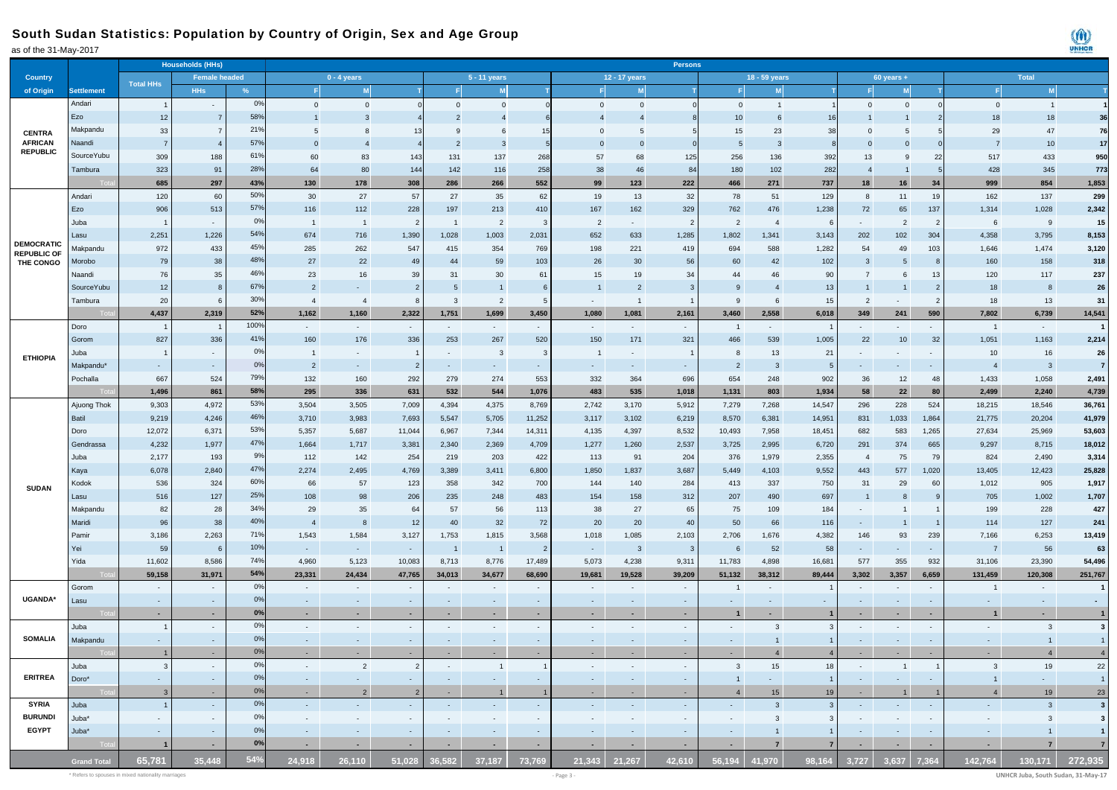### South Sudan Statistics: Population by Country of Origin, Sex and Age Group

| as of the 31-May-2017 |                    |                  |                          |                |                 |                          |                |                          |                          |                          |                          |                         |                                |                          |                |                         |                          |                   |                          |                          |                | UNHCH                   |
|-----------------------|--------------------|------------------|--------------------------|----------------|-----------------|--------------------------|----------------|--------------------------|--------------------------|--------------------------|--------------------------|-------------------------|--------------------------------|--------------------------|----------------|-------------------------|--------------------------|-------------------|--------------------------|--------------------------|----------------|-------------------------|
|                       |                    |                  | <b>Households (HHs)</b>  |                |                 |                          |                |                          |                          |                          |                          |                         | <b>Persons</b>                 |                          |                |                         |                          |                   |                          |                          |                |                         |
| <b>Country</b>        |                    |                  | Female headed            |                | $0 - 4$ years   |                          |                | $5 - 11$ years           |                          |                          |                          |                         | 12 - 17 years<br>18 - 59 years |                          |                |                         |                          |                   |                          |                          | Total          |                         |
| of Origin             | <b>Settlement</b>  | <b>Total HHs</b> | <b>HHs</b>               | %              | -FI             | M                        |                | F                        | M                        |                          |                          | M                       |                                | F                        | M              |                         |                          | $60$ years +<br>M |                          | F                        | M              |                         |
|                       | Andari             |                  |                          | 0%             |                 |                          |                |                          |                          |                          |                          |                         |                                |                          |                |                         |                          |                   |                          |                          |                |                         |
|                       |                    | $\overline{1}$   | $\overline{\phantom{a}}$ |                | $\overline{0}$  | $\mathbf 0$              |                | $\mathbf{0}$             | $\overline{0}$           | $\Omega$                 | $\Omega$                 | $\overline{0}$          | $\Omega$                       | $\overline{0}$           | $\overline{1}$ |                         | $\Omega$                 | $\Omega$          |                          | $\overline{0}$           | $\vert$ 1      |                         |
|                       | Ezo                | 12               | $\overline{7}$           | 58%            |                 | $\overline{3}$           |                | $\overline{2}$           |                          |                          |                          |                         |                                | 10                       | 6              | 16                      |                          |                   |                          | 18                       | 18             | 36                      |
| <b>CENTRA</b>         | Makpandu           | 33               | $\overline{7}$           | 21%            | $5\overline{)}$ | 8                        | 13             | 9                        | 6                        | 15                       | $\mathbf{0}$             | 5                       |                                | 15                       | 23             | 38                      | $\overline{0}$           | -5                |                          | 29                       | 47             | 76                      |
| <b>AFRICAN</b>        | Naandi             | $\overline{7}$   | $\overline{4}$           | 57%            | $\overline{0}$  |                          |                | $\overline{2}$           | -3                       |                          | $\mathbf{0}$             | - 0                     |                                | -5                       | $\mathbf{3}$   |                         |                          |                   |                          | $\overline{7}$           | 10             | 17                      |
| <b>REPUBLIC</b>       | Source Yubu        | 309              | 188                      | 61%            | 60              | 83                       | 143            | 131                      | 137                      | 268                      | 57                       | 68                      | 125                            | 256                      | 136            | 392                     | 13                       | 9                 | 22                       | 517                      | 433            | 950                     |
|                       | Tambura            | 323              | 91                       | 28%            | 64              | 80                       | 144            | 142                      | 116                      | 258                      | 38                       | 46                      | 84                             | 180                      | 102            | 282                     | $\overline{4}$           |                   |                          | 428                      | 345            | 773                     |
|                       |                    | 685              | 297                      | 43%            | 130             | 178                      | 308            | 286                      | 266                      | 552                      | 99                       | 123                     | 222                            | 466                      | 271            | 737                     | 18                       | $16\,$            | 34                       | 999                      | 854            | 1,853                   |
|                       | Andari             | 120              | 60                       | 50%            | 30              | 27                       | 57             | 27                       | 35                       | 62                       | 19                       | 13                      | 32                             | 78                       | 51             | 129                     | 8                        | 11                | 19                       | 162                      | 137            | 299                     |
|                       | Ezo                | 906              | 513                      | 57%            | 116             | 112                      | 228            | 197                      | 213                      | 410                      | 167                      | 162                     | 329                            | 762                      | 476            | 1,238                   | 72                       | 65                | 137                      | 1,314                    | 1,028          | 2,342                   |
|                       | Juba               | $\overline{1}$   | $\sim$                   | 0%             | $\overline{1}$  | $\overline{1}$           | $\overline{2}$ | $\overline{1}$           | $\overline{2}$           | $\overline{\mathbf{3}}$  | $\overline{2}$           | $\sim$                  | $\overline{2}$                 | $\overline{2}$           | $\overline{4}$ | - 6                     | $\sim$                   | $\overline{2}$    | $\overline{2}$           | 6                        | 9              | 15                      |
|                       | Lasu               | 2,251            | 1,226                    | 54%            | 674             | 716                      | 1,390          | 1,028                    | 1,003                    | 2,031                    | 652                      | 633                     | 1,285                          | 1,802                    | 1,341          | 3,143                   | 202                      | 102               | 304                      | 4,358                    | 3,795          | 8,153                   |
| <b>DEMOCRATIC</b>     | Makpandu           | 972              | 433                      | 45%            | 285             | 262                      | 547            | 415                      | 354                      | 769                      | 198                      | 221                     | 419                            | 694                      | 588            | 1,282                   | 54                       | 49                | 103                      | 1,646                    | 1,474          | 3,120                   |
| <b>REPUBLIC OF</b>    | Morobo             | 79               | 38                       | 48%            | 27              | 22                       | 49             | 44                       | 59                       | 103                      | 26                       | 30                      | 56                             | 60                       | 42             | 102                     | $\mathbf{3}$             | 5                 | 8                        | 160                      | 158            | 318                     |
| THE CONGO             |                    |                  |                          | 46%            | 23              |                          |                |                          |                          |                          |                          |                         |                                | 44                       |                |                         | $\overline{7}$           |                   |                          |                          |                |                         |
|                       | Naandi             | 76               | 35                       | 67%            |                 | 16                       | 39             | 31                       | 30                       | 61                       | 15                       | 19                      | 34                             |                          | 46             | 90                      |                          | 6                 | 13                       | 120                      | 117            | 237                     |
|                       | SourceYubu         | 12               | 8                        |                | $\overline{2}$  | $\sim$                   | $\overline{2}$ | 5                        | $\overline{1}$           | 6                        |                          | $\overline{2}$          | $\overline{\mathbf{3}}$        | -9                       | $\overline{4}$ | 13                      | $\overline{1}$           | $\overline{1}$    | $\overline{2}$           | 18                       | 8              | 26                      |
|                       | Tambura            | 20               | 6                        | 30%            | $\overline{4}$  | $\overline{4}$           | 8              | $\mathbf{3}$             | $\overline{2}$           | - 5                      | $\sim$                   | $\overline{1}$          |                                | 9                        | 6              | 15                      | $\overline{2}$           | $\sim$            | $\overline{2}$           | 18                       | 13             | 31                      |
|                       |                    | 4,437            | 2,319                    | 52%            | 1,162           | 1,160                    | 2,322          | 1,751                    | 1,699                    | 3,450                    | 1,080                    | 1,081                   | 2,161                          | 3,460                    | 2,558          | 6,018                   | 349                      | 241               | 590                      | 7,802                    | 6,739          | 14,541                  |
| <b>ETHIOPIA</b>       | Doro               | $\overline{1}$   |                          | 100%           | $\sim$          | $\sim$                   | $\sim$         | $\sim$                   | $\sim$                   | $\overline{\phantom{a}}$ | $\sim$                   | $\sim$                  | $\overline{\phantom{a}}$       | $\overline{1}$           | $\sim$         |                         | $\overline{\phantom{a}}$ | $\sim$            | $\overline{\phantom{a}}$ | $\overline{1}$           | $\sim$         |                         |
|                       | Gorom              | 827              | 336                      | 41%            | 160             | 176                      | 336            | 253                      | 267                      | 520                      | 150                      | 171                     | 321                            | 466                      | 539            | 1,005                   | 22                       | $10$              | 32                       | 1,051                    | 1,163          | 2,214                   |
|                       | Juba               |                  | $\sim$                   | 0%             | $\overline{1}$  | $\sim$                   | $\overline{1}$ | $\sim$                   | $\overline{\mathbf{3}}$  | - 3                      | $\overline{1}$           | $\sim$                  |                                | -8                       | 13             | 21                      | $\sim$                   | $\sim$            | $\sim$                   | 10                       | 16             | 26                      |
|                       | Makpandu*          | $\sim$           | $\sim$                   | 0%             | $\overline{2}$  | $\sim$                   | $\overline{2}$ | $\sim$                   | $\sim$                   | $\sim$                   | $\sim$                   | $\sim$                  | $\sim$                         | $\overline{2}$           | $\mathbf{3}$   | 5                       | $\sim$                   | $\sim$            | $\sim$                   | $\overline{4}$           | $\mathbf{3}$   | $\overline{7}$          |
|                       | Pochalla           | 667              | 524                      | 79%            | 132             | 160                      | 292            | 279                      | 274                      | 553                      | 332                      | 364                     | 696                            | 654                      | 248            | 902                     | 36                       | 12                | 48                       | 1,433                    | 1,058          | 2,491                   |
|                       |                    | 1,496            | 861                      | 58%            | 295             | 336                      | 631            | 532                      | 544                      | 1,076                    | 483                      | 535                     | 1,018                          | 1,131                    | 803            | 1,934                   | 58                       | ${\bf 22}$        | 80                       | 2,499                    | 2,240          | 4,739                   |
|                       | Ajuong Thok        | 9,303            | 4,972                    | 53%            | 3,504           | 3,505                    | 7,009          | 4,394                    | 4,375                    | 8,769                    | 2,742                    | 3,170                   | 5,912                          | 7,279                    | 7,268          | 14,547                  | 296                      | 228               | 524                      | 18,215                   | 18,546         | 36,761                  |
|                       | Batil              | 9,219            | 4,246                    | 46%            | 3,710           | 3,983                    | 7,693          | 5,547                    | 5,705                    | 11,252                   | 3,117                    | 3,102                   | 6,219                          | 8,570                    | 6,381          | 14,951                  | 831                      | 1,033             | 1,864                    | 21,775                   | 20,204         | 41,979                  |
|                       | Doro               | 12,072           | 6,371                    | 53%            | 5,357           | 5,687                    | 11,044         | 6,967                    | 7,344                    | 14,311                   | 4,135                    | 4,397                   | 8,532                          | 10,493                   | 7,958          | 18,451                  | 682                      | 583               | 1,265                    | 27,634                   | 25,969         | 53,603                  |
|                       | Gendrassa          | 4,232            | 1,977                    | 47%            | 1,664           | 1,717                    | 3,381          | 2,340                    | 2,369                    | 4,709                    | 1,277                    | 1,260                   | 2,537                          | 3,725                    | 2,995          | 6,720                   | 291                      | 374               | 665                      | 9,297                    | 8,715          | 18,012                  |
|                       | Juba               | 2,177            | 193                      | 9%             | 112             | 142                      | 254            | 219                      | 203                      | 422                      | 113                      | 91                      | 204                            | 376                      | 1,979          | 2,355                   | $\overline{4}$           | 75                | 79                       | 824                      | 2,490          | 3,314                   |
|                       | Kaya               | 6,078            | 2,840                    | 47%            | 2,274           | 2,495                    | 4,769          | 3,389                    | 3,411                    | 6,800                    | 1,850                    | 1,837                   | 3,687                          | 5,449                    | 4,103          | 9,552                   | 443                      | 577               | 1,020                    | 13,405                   | 12,423         | 25,828                  |
|                       | Kodok              | 536              | 324                      | 60%            | 66              | 57                       | 123            | 358                      | 342                      | 700                      | 144                      | 140                     | 284                            | 413                      | 337            | 750                     | 31                       | 29                | 60                       | 1,012                    | 905            | 1,917                   |
| <b>SUDAN</b>          | Lasu               | 516              | 127                      | 25%            | 108             | 98                       | 206            | 235                      | 248                      | 483                      | 154                      | 158                     | 312                            | 207                      | 490            | 697                     |                          | 8                 | 9                        | 705                      | 1,002          | 1,707                   |
|                       |                    |                  |                          | 34%            |                 |                          |                |                          |                          |                          |                          | 27                      |                                |                          |                |                         |                          |                   |                          |                          |                |                         |
|                       | Makpandu           | 82               | 28                       | 40%            | 29              | 35                       | 64             | 57                       | 56                       | 113                      | 38                       |                         | 65                             | 75                       | 109            | 184                     | $\overline{\phantom{a}}$ | $\overline{1}$    | $\mathbf{1}$             | 199                      | 228            | 427                     |
|                       | Maridi             | 96               | 38                       |                | $\overline{4}$  | 8                        | 12             | 40                       | 32                       | 72                       | 20                       | 20                      | 40                             | 50                       | 66             | 116                     | $\sim$                   | $\overline{1}$    | $\mathbf{1}$             | 114                      | 127            | 241                     |
|                       | Pamir              | 3,186            | 2,263                    | 71%            | 1,543           | 1,584                    | 3,127          | 1,753                    | 1,815                    | 3,568                    | 1,018                    | 1,085                   | 2,103                          | 2,706                    | 1,676          | 4,382                   | 146                      | 93                | 239                      | 7,166                    | 6,253          | 13,419                  |
|                       | Yei                | 59               | 6                        | 10%            | $\sim$          | $\sim$                   | $\sim$         | $\overline{1}$           | $\overline{1}$           | $\overline{2}$           | $\overline{\phantom{a}}$ | $\overline{\mathbf{3}}$ | $\overline{\mathbf{3}}$        |                          | 52             | 58                      | ٠                        | $\sim$            | $\overline{\phantom{a}}$ | $\overline{7}$           | 56             | 63                      |
|                       | Yida               | 11,602           | 8,586                    | 74%            | 4,960           | 5,123                    | 10,083         | 8,713                    | 8,776                    | 17,489                   | 5,073                    | 4,238                   | 9,311                          | 11,783                   | 4,898          | 16,681                  | 577                      | 355               | 932                      | 31,106                   | 23,390         | 54,496                  |
|                       |                    | 59,158           | 31,971                   | 54%            | 23,331          | 24,434                   | 47,765         | 34,013                   | 34,677                   | 68,690                   | 19,681                   | 19,528                  | 39,209                         | 51,132                   | 38,312         | 89,444                  | 3,302                    | 3,357             | 6,659                    | 131,459                  | 120,308        | 251,767                 |
|                       | Gorom              | $\sim$           | $\sim$                   | 0 <sup>9</sup> | $\sim$          | $\sim$                   | $\sim$         | $\sim$                   | $\sim$                   | $\sim$                   | $\sim$                   | $\sim$                  | $\sim$                         |                          | $\sim$         |                         | $\overline{\phantom{a}}$ | $\sim$            | $\sim$                   | $\overline{1}$           | $\sim$         | $\overline{1}$          |
| UGANDA*               | Lasu               | ×.               | $\sim$                   | 0%             | $\sim$          | $\sim$                   | $\sim$         | $\sim$                   | $\sim$                   | $\sim$                   | $\sim$                   | $\sim$                  | $\sim$                         | $\sim$                   | $\sim$         | $\sim$                  | $\sim$                   | $\sim$            | $\sim$                   | $\sim$                   | $\sim$         | $\sim$                  |
|                       |                    | $\sim$           | $\sim$                   | 0 <sup>9</sup> | $\sim$          | ×.                       | $\sim$         | $\sim$                   | $\sim$                   | $\sim$                   | ٠                        | $\sim$                  | $\sim$                         |                          | $\sim$         |                         | ٠                        | $\sim$            | $\sim$                   |                          | $\sim$         |                         |
|                       | Juba               | $\overline{1}$   | $\sim$                   | 0 <sup>9</sup> | $\sim$          | $\overline{\phantom{a}}$ | $\sim$         | $\sim$                   | $\sim$                   | $\sim$                   | $\sim$                   | $\sim$                  | $\sim$                         | $\sim$                   | $\mathbf{3}$   | 3                       | $\overline{\phantom{a}}$ | $\sim$            | $\overline{\phantom{a}}$ | $\sim$                   | $\mathbf{3}$   | $\overline{\mathbf{3}}$ |
| <b>SOMALIA</b>        | Makpandu           |                  | $\sim$                   | 0%             |                 |                          |                | $\overline{\phantom{a}}$ | $\overline{\phantom{a}}$ |                          |                          |                         | $\overline{\phantom{a}}$       |                          | $\overline{1}$ | $\overline{1}$          | $\overline{\phantom{a}}$ | ٠                 |                          |                          |                | $\overline{1}$          |
|                       |                    |                  |                          | 0%             |                 |                          |                |                          |                          |                          |                          | $\sim$                  |                                |                          | $\overline{4}$ |                         |                          |                   |                          |                          |                |                         |
|                       | Juba               | $\mathbf{3}$     | $\sim$                   | 0%             | $\sim$          | $\overline{2}$           | $\overline{2}$ | $\sim$                   | 1                        |                          | $\sim$                   | $\sim$                  | $\sim$                         | $\mathbf{3}$             | 15             | 18                      | $\sim$                   | $\overline{1}$    |                          | $\mathbf{3}$             | 19             | 22                      |
| <b>ERITREA</b>        | Doro*              |                  | $\sim$                   | 0%             | $\sim$          | $\sim$                   | $\sim$         | $\sim$                   | $\sim$                   | $\sim$                   | $\sim$                   | $\sim$                  | $\sim$                         |                          | $\sim$         |                         | $\sim$                   | $\sim$            | $\sim$                   |                          | $\sim$         |                         |
|                       |                    | $\mathbf{3}$     | $\sim$                   | 0%             | $\sim$          | $\overline{2}$           | $\overline{2}$ |                          |                          |                          | $\sim$                   | $\sim$                  | $\sim$                         | $\overline{4}$           | 15             | 19                      | $\sim$                   | $\overline{1}$    |                          | $\overline{4}$           | 19             | 23                      |
| <b>SYRIA</b>          | Juba               |                  | $\sim$                   | 0%             | $\sim$          | $\sim$                   |                | $\sim$                   | $\sim$                   |                          | $\sim$                   | $\sim$                  | $\sim$                         | $\sim$                   | $\mathbf{3}$   | $\overline{\mathbf{3}}$ |                          | $\sim$            | $\sim$                   | $\sim$                   | $\mathbf{3}$   | $\overline{\mathbf{3}}$ |
| <b>BURUNDI</b>        | $Juba*$            | $\sim$           | $\overline{\phantom{a}}$ | 0%             | $\sim$          | $\overline{\phantom{a}}$ | $\sim$         | $\sim$                   | $\sim$                   |                          | $\sim$                   | $\sim$                  | $\sim$                         | $\overline{\phantom{a}}$ | $\mathbf{3}$   | -3                      | $\sim$                   | $\sim$            | $\sim$                   | $\overline{\phantom{a}}$ | $\mathbf{3}$   | $\overline{\mathbf{3}}$ |
| <b>EGYPT</b>          | $Juba*$            |                  | $\sim$                   | 0%             | $\sim$          | $\sim$                   | $\sim$         | $\sim$                   | $\sim$                   | $\sim$                   | $\sim$                   | $\sim$ $-$              | $\sim$                         | $\sim$                   | $\overline{1}$ |                         | $\sim$                   | $\sim$            | $\sim$                   | $\sim$                   | $\overline{1}$ | $\mathbf{1}$            |
|                       | Tota               |                  | $\sim$                   | 0%             |                 |                          |                |                          | $\sim$                   | $\sim$                   | ×                        | $\sim$                  | $\sim$                         |                          | $\overline{7}$ | -7                      |                          | $\sim$            |                          | $\sim$                   | $\overline{7}$ |                         |
|                       |                    |                  |                          |                |                 |                          |                |                          |                          |                          |                          |                         |                                |                          |                |                         |                          |                   |                          |                          |                |                         |
|                       | <b>Grand Total</b> | 65,781           | 35,448                   | 54%            | 24,918          | 26,110                   | 51,028         | 36,582                   | 37,187                   | 73,769                   | 21,343                   | 21,267                  | 42,610                         | 56,194                   | 41,970         | 98,164                  | 3,727                    | 3,637             | 7,364                    | 142,764                  | 130,171        | 272,935                 |

 $\langle n \rangle$